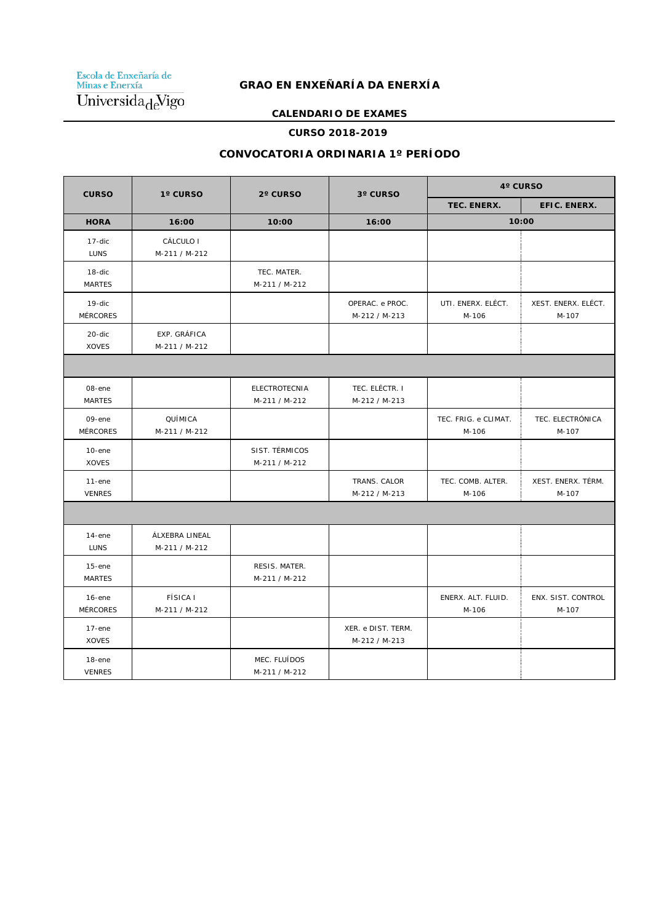Escola de Enxeñaría de<br>Minas e Enerxía  $\overline{\text{Universal} \text{al}}$ 

# **GRAO EN ENXEÑARÍA DA ENERXÍA**

#### **CALENDARIO DE EXAMES**

#### **CURSO 2018-2019**

### **CONVOCATORIA ORDINARIA 1º PERÍODO**

| <b>CURSO</b>                 | 1° CURSO                         | 2° CURSO                              | 3° CURSO                            | 4° CURSO                      |                              |  |
|------------------------------|----------------------------------|---------------------------------------|-------------------------------------|-------------------------------|------------------------------|--|
|                              |                                  |                                       |                                     | TEC. ENERX.                   | EFIC. ENERX.                 |  |
| <b>HORA</b>                  | 16:00                            | 10:00                                 | 16:00                               | 10:00                         |                              |  |
| $17$ -dic<br><b>LUNS</b>     | CÁLCULO I<br>M-211 / M-212       |                                       |                                     |                               |                              |  |
| 18-dic<br><b>MARTES</b>      |                                  | TEC. MATER.<br>M-211 / M-212          |                                     |                               |                              |  |
| 19-dic<br><b>MÉRCORES</b>    |                                  |                                       | OPERAC. e PROC.<br>M-212 / M-213    | UTI. ENERX. ELÉCT.<br>M-106   | XEST. ENERX. ELÉCT.<br>M-107 |  |
| 20-dic<br><b>XOVES</b>       | EXP. GRÁFICA<br>M-211 / M-212    |                                       |                                     |                               |                              |  |
|                              |                                  |                                       |                                     |                               |                              |  |
| 08-ene<br><b>MARTES</b>      |                                  | <b>ELECTROTECNIA</b><br>M-211 / M-212 | TEC. ELÉCTR. I<br>M-212 / M-213     |                               |                              |  |
| 09-ene<br><b>MÉRCORES</b>    | QUÍMICA<br>M-211 / M-212         |                                       |                                     | TEC. FRIG. e CLIMAT.<br>M-106 | TEC. ELECTRÓNICA<br>M-107    |  |
| $10$ -ene<br><b>XOVES</b>    |                                  | SIST. TÉRMICOS<br>M-211 / M-212       |                                     |                               |                              |  |
| $11$ -ene<br><b>VENRES</b>   |                                  |                                       | TRANS. CALOR<br>M-212 / M-213       | TEC. COMB. ALTER.<br>M-106    | XEST. ENERX. TÉRM.<br>M-107  |  |
|                              |                                  |                                       |                                     |                               |                              |  |
| $14$ -ene<br><b>LUNS</b>     | ÁLXEBRA LINEAL<br>M-211 / M-212  |                                       |                                     |                               |                              |  |
| $15$ -ene<br><b>MARTES</b>   |                                  | RESIS. MATER.<br>M-211 / M-212        |                                     |                               |                              |  |
| $16$ -ene<br><b>MÉRCORES</b> | <b>FÍSICA I</b><br>M-211 / M-212 |                                       |                                     | ENERX. ALT. FLUID.<br>M-106   | ENX. SIST. CONTROL<br>M-107  |  |
| $17$ -ene<br><b>XOVES</b>    |                                  |                                       | XER. e DIST. TERM.<br>M-212 / M-213 |                               |                              |  |
| $18$ -ene<br><b>VENRES</b>   |                                  | MEC. FLUÍDOS<br>M-211 / M-212         |                                     |                               |                              |  |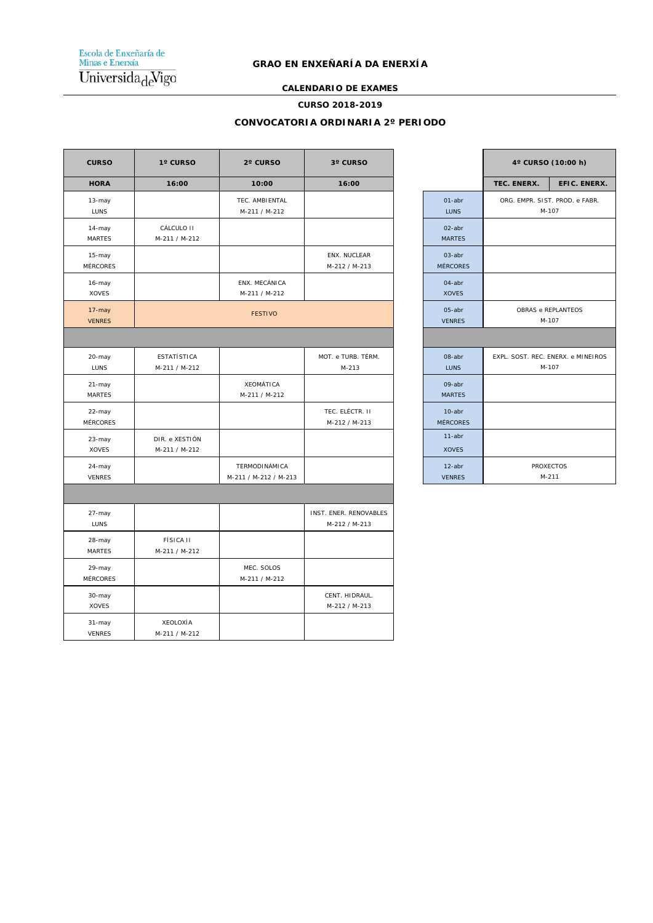Escola de Enxeñaría de<br>Minas e Enerxía  $\overline{\text{Universala}_{\text{d}}\text{Vigo}}$ 

#### **GRAO EN ENXEÑARÍA DA ENERXÍA**

#### **CALENDARIO DE EXAMES**

#### **CURSO 2018-2019**

#### **CONVOCATORIA ORDINARIA 2º PERÍODO**

| <b>CURSO</b>              | 1° CURSO                            | 2° CURSO                               | 3° CURSO                                |                            |             | 4° CURSO (10:00 h)                          |
|---------------------------|-------------------------------------|----------------------------------------|-----------------------------------------|----------------------------|-------------|---------------------------------------------|
| <b>HORA</b>               | 16:00                               | 10:00                                  | 16:00                                   |                            | TEC. ENERX. | EFIC. ENERX.                                |
| 13-may<br><b>LUNS</b>     |                                     | TEC. AMBIENTAL<br>M-211 / M-212        |                                         | $01$ -abr<br><b>LUNS</b>   |             | ORG. EMPR. SIST. PROD. e FABR.<br>M-107     |
| 14-may<br><b>MARTES</b>   | CÁLCULO II<br>M-211 / M-212         |                                        |                                         | 02-abr<br><b>MARTES</b>    |             |                                             |
| 15-may<br>MÉRCORES        |                                     |                                        | ENX. NUCLEAR<br>M-212 / M-213           | 03-abr<br><b>MÉRCORES</b>  |             |                                             |
| 16-may<br><b>XOVES</b>    |                                     | ENX. MECÁNICA<br>M-211 / M-212         |                                         | 04-abr<br><b>XOVES</b>     |             |                                             |
| 17-may<br><b>VENRES</b>   |                                     | <b>FESTIVO</b>                         |                                         | 05-abr<br><b>VENRES</b>    |             | OBRAS e REPLANTEOS<br>M-107                 |
|                           |                                     |                                        |                                         |                            |             |                                             |
| 20-may<br><b>LUNS</b>     | <b>ESTATÍSTICA</b><br>M-211 / M-212 |                                        | MOT. e TURB. TÉRM.<br>$M - 213$         | 08-abr<br>LUNS             |             | EXPL. SOST. REC. ENERX. e MINEIROS<br>M-107 |
| 21-may<br><b>MARTES</b>   |                                     | XEOMÁTICA<br>M-211 / M-212             |                                         | 09-abr<br><b>MARTES</b>    |             |                                             |
| 22-may<br>MÉRCORES        |                                     |                                        | TEC. ELÉCTR. II<br>M-212 / M-213        | 10-abr<br><b>MÉRCORES</b>  |             |                                             |
| 23-may<br><b>XOVES</b>    | DIR. e XESTIÓN<br>M-211 / M-212     |                                        |                                         | $11$ -abr<br><b>XOVES</b>  |             |                                             |
| 24-may<br><b>VENRES</b>   |                                     | TERMODINÁMICA<br>M-211 / M-212 / M-213 |                                         | $12$ -abr<br><b>VENRES</b> |             | <b>PROXECTOS</b><br>$M-211$                 |
|                           |                                     |                                        |                                         |                            |             |                                             |
| 27-may<br><b>LUNS</b>     |                                     |                                        | INST. ENER. RENOVABLES<br>M-212 / M-213 |                            |             |                                             |
| 28-may<br><b>MARTES</b>   | <b>FÍSICA II</b><br>M-211 / M-212   |                                        |                                         |                            |             |                                             |
| 29-may<br><b>MÉRCORES</b> |                                     | MEC. SOLOS<br>M-211 / M-212            |                                         |                            |             |                                             |
| 30-may<br><b>XOVES</b>    |                                     |                                        | CENT. HIDRAUL.<br>M-212 / M-213         |                            |             |                                             |
| 31-may<br><b>VENRES</b>   | XEOLOXÍA<br>M-211 / M-212           |                                        |                                         |                            |             |                                             |

|                              | 4° CURSO (10:00 h)                          |              |  |
|------------------------------|---------------------------------------------|--------------|--|
|                              | TEC. ENERX.                                 | EFIC. ENERX. |  |
| $01$ -abr<br><b>LUNS</b>     | ORG. EMPR. SIST. PROD. e FABR.<br>M-107     |              |  |
| $02$ -abr<br><b>MARTES</b>   |                                             |              |  |
| $03$ -abr<br><b>MÉRCORES</b> |                                             |              |  |
| $04$ -abr<br><b>XOVES</b>    |                                             |              |  |
| 05-abr<br><b>VENRES</b>      | OBRAS e REPLANTEOS<br>M-107                 |              |  |
|                              |                                             |              |  |
| 08-abr<br><b>LUNS</b>        | EXPL. SOST. REC. ENERX. e MINEIROS<br>M-107 |              |  |
| 09-abr<br><b>MARTES</b>      |                                             |              |  |
| $10$ -abr<br><b>MÉRCORES</b> |                                             |              |  |
| $11$ -abr<br><b>XOVES</b>    |                                             |              |  |
| $12$ -abr<br><b>VENRES</b>   | <b>PROXECTOS</b><br>M-211                   |              |  |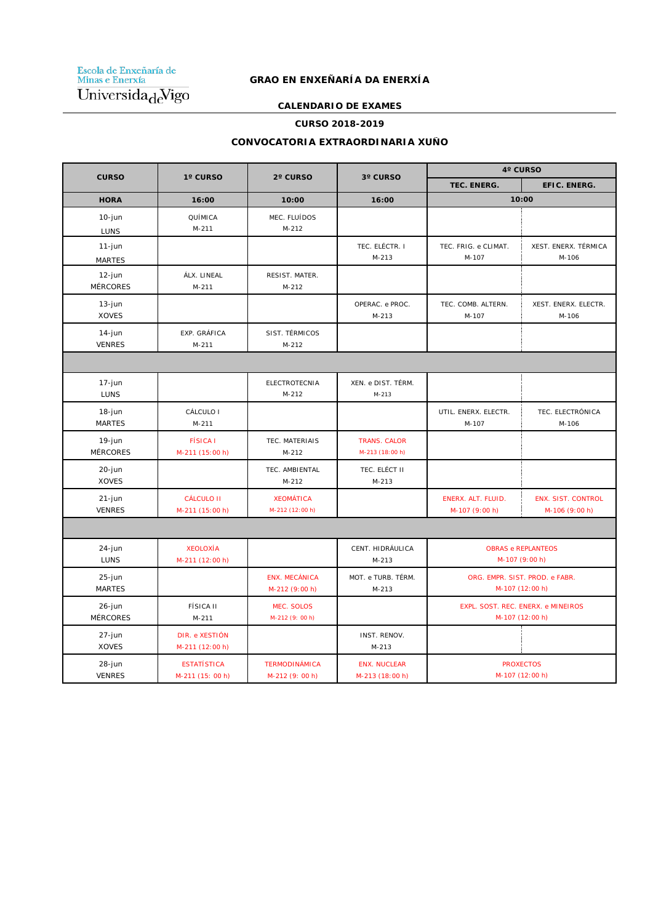Escola de Enxeñaría de<br>Minas e Enerxía Universida<sub>de</sub>Vigo

## **GRAO EN ENXEÑARÍA DA ENERXÍA**

#### **CALENDARIO DE EXAMES**

#### **CURSO 2018-2019**

#### **CONVOCATORIA EXTRAORDINARIA XUÑO**

| <b>CURSO</b>                 | 1° CURSO                               | 2° CURSO                                | 3° CURSO                               | 4° CURSO                                              |                                             |  |
|------------------------------|----------------------------------------|-----------------------------------------|----------------------------------------|-------------------------------------------------------|---------------------------------------------|--|
|                              |                                        |                                         |                                        | TEC. ENERG.                                           | EFIC. ENERG.                                |  |
| <b>HORA</b>                  | 16:00                                  | 10:00                                   | 16:00                                  | 10:00                                                 |                                             |  |
| $10$ -jun<br>LUNS            | QUÍMICA<br>$M-211$                     | MEC. FLUÍDOS<br>$M-212$                 |                                        |                                                       |                                             |  |
| $11-j$ un<br><b>MARTES</b>   |                                        |                                         | TEC. ELÉCTR. I<br>$M-213$              | TEC. FRIG. e CLIMAT.<br>M-107                         | XEST. ENERX. TÉRMICA<br>M-106               |  |
| 12-jun<br><b>MÉRCORES</b>    | ÁLX. LINEAL<br>$M - 211$               | RESIST. MATER.<br>$M-212$               |                                        |                                                       |                                             |  |
| $13$ -jun<br><b>XOVES</b>    |                                        |                                         | OPERAC. e PROC.<br>$M - 213$           | TEC. COMB. ALTERN.<br>M-107                           | XEST. ENERX. ELECTR.<br>M-106               |  |
| $14$ -jun<br><b>VENRES</b>   | EXP. GRÁFICA<br>$M-211$                | SIST. TÉRMICOS<br>$M-212$               |                                        |                                                       |                                             |  |
|                              |                                        |                                         |                                        |                                                       |                                             |  |
| 17-jun<br><b>LUNS</b>        |                                        | <b>ELECTROTECNIA</b><br>$M-212$         | XEN. e DIST. TÉRM.<br>$M - 213$        |                                                       |                                             |  |
| 18-jun<br><b>MARTES</b>      | CÁLCULO I<br>$M-211$                   |                                         |                                        | UTIL. ENERX. ELECTR.<br>M-107                         | TEC. ELECTRÓNICA<br>M-106                   |  |
| 19-jun<br><b>MÉRCORES</b>    | <b>FÍSICA I</b><br>M-211 (15:00 h)     | TEC. MATERIAIS<br>M-212                 | <b>TRANS. CALOR</b><br>M-213 (18:00 h) |                                                       |                                             |  |
| 20-jun<br><b>XOVES</b>       |                                        | TEC. AMBIENTAL<br>$M-212$               | TEC. ELÉCT II<br>$M-213$               |                                                       |                                             |  |
| $21 - j$ un<br><b>VENRES</b> | <b>CÁLCULO II</b><br>M-211 (15:00 h)   | <b>XEOMÁTICA</b><br>M-212 (12:00 h)     |                                        | ENERX. ALT. FLUID.<br>M-107 (9:00 h)                  | <b>ENX. SIST. CONTROL</b><br>M-106 (9:00 h) |  |
|                              |                                        |                                         |                                        |                                                       |                                             |  |
| 24-jun<br>LUNS               | <b>XEOLOXÍA</b><br>M-211 (12:00 h)     |                                         | CENT. HIDRÁULICA<br>$M-213$            | <b>OBRAS e REPLANTEOS</b><br>M-107 (9:00 h)           |                                             |  |
| 25-jun<br><b>MARTES</b>      |                                        | <b>ENX. MECÁNICA</b><br>M-212 (9:00 h)  | MOT. e TURB. TÉRM.<br>$M-213$          | ORG. EMPR. SIST. PROD. e FABR.<br>M-107 (12:00 h)     |                                             |  |
| 26-jun<br><b>MÉRCORES</b>    | <b>FÍSICA II</b><br>$M-211$            | MEC. SOLOS<br>M-212 (9: 00 h)           |                                        | EXPL. SOST. REC. ENERX. e MINEIROS<br>M-107 (12:00 h) |                                             |  |
| 27-jun<br><b>XOVES</b>       | DIR. e XESTIÓN<br>M-211 (12:00 h)      |                                         | INST. RENOV.<br>$M-213$                |                                                       |                                             |  |
| 28-jun<br><b>VENRES</b>      | <b>ESTATÍSTICA</b><br>M-211 (15: 00 h) | <b>TERMODINÁMICA</b><br>M-212 (9: 00 h) | <b>ENX. NUCLEAR</b><br>M-213 (18:00 h) | <b>PROXECTOS</b><br>M-107 (12:00 h)                   |                                             |  |